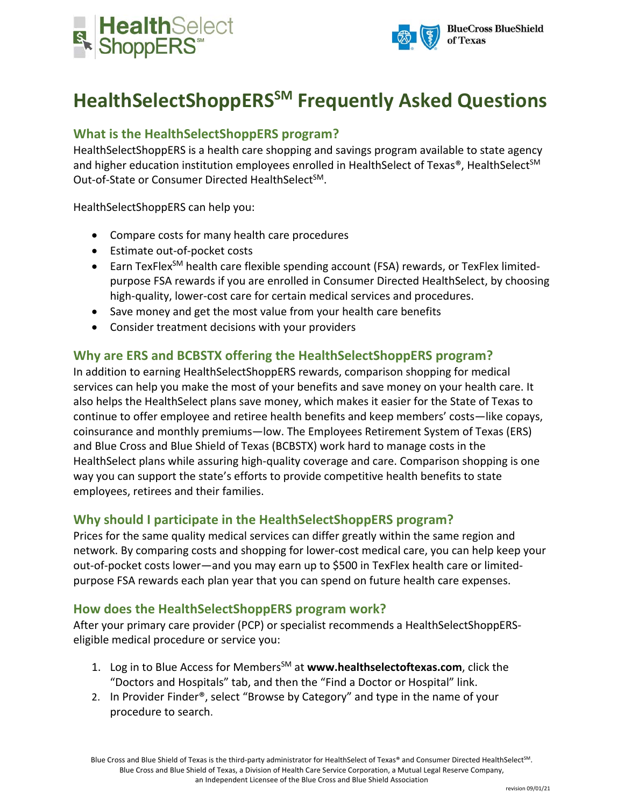



# **HealthSelectShoppERSSM Frequently Asked Questions**

# **What is the HealthSelectShoppERS program?**

HealthSelectShoppERS is a health care shopping and savings program available to state agency and higher education institution employees enrolled in HealthSelect of Texas®, HealthSelect<sup>SM</sup> Out-of-State or Consumer Directed HealthSelect<sup>SM</sup>.

HealthSelectShoppERS can help you:

- Compare costs for many health care procedures
- Estimate out-of-pocket costs
- Earn TexFlex<sup>SM</sup> health care flexible spending account (FSA) rewards, or TexFlex limitedpurpose FSA rewards if you are enrolled in Consumer Directed HealthSelect, by choosing high-quality, lower-cost care for certain medical services and procedures.
- Save money and get the most value from your health care benefits
- Consider treatment decisions with your providers

## **Why are ERS and BCBSTX offering the HealthSelectShoppERS program?**

In addition to earning HealthSelectShoppERS rewards, comparison shopping for medical services can help you make the most of your benefits and save money on your health care. It also helps the HealthSelect plans save money, which makes it easier for the State of Texas to continue to offer employee and retiree health benefits and keep members' costs—like copays, coinsurance and monthly premiums—low. The Employees Retirement System of Texas (ERS) and Blue Cross and Blue Shield of Texas (BCBSTX) work hard to manage costs in the HealthSelect plans while assuring high-quality coverage and care. Comparison shopping is one way you can support the state's efforts to provide competitive health benefits to state employees, retirees and their families.

#### **Why should I participate in the HealthSelectShoppERS program?**

Prices for the same quality medical services can differ greatly within the same region and network. By comparing costs and shopping for lower-cost medical care, you can help keep your out-of-pocket costs lower—and you may earn up to \$500 in TexFlex health care or limitedpurpose FSA rewards each plan year that you can spend on future health care expenses.

#### **How does the HealthSelectShoppERS program work?**

After your primary care provider (PCP) or specialist recommends a HealthSelectShoppERSeligible medical procedure or service you:

- 1. Log in to Blue Access for Members<sup>SM</sup> at www.healthselectoftexas.com, click the "Doctors and Hospitals" tab, and then the "Find a Doctor or Hospital" link.
- 2. In Provider Finder®, select "Browse by Category" and type in the name of your procedure to search.

Blue Cross and Blue Shield of Texas is the third-party administrator for HealthSelect of Texas® and Consumer Directed HealthSelect<sup>SM</sup>. Blue Cross and Blue Shield of Texas, a Division of Health Care Service Corporation, a Mutual Legal Reserve Company, an Independent Licensee of the Blue Cross and Blue Shield Association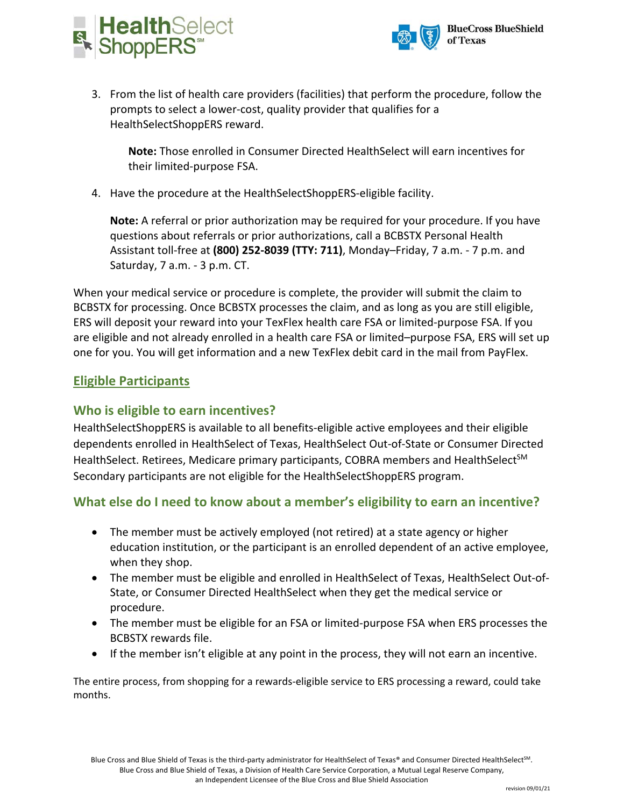



3. From the list of health care providers (facilities) that perform the procedure, follow the prompts to select a lower-cost, quality provider that qualifies for a HealthSelectShoppERS reward.

**Note:** Those enrolled in Consumer Directed HealthSelect will earn incentives for their limited-purpose FSA.

4. Have the procedure at the HealthSelectShoppERS-eligible facility.

**Note:** A referral or prior authorization may be required for your procedure. If you have questions about referrals or prior authorizations, call a BCBSTX Personal Health Assistant toll-free at **(800) 252-8039 (TTY: 711)**, Monday–Friday, 7 a.m. - 7 p.m. and Saturday, 7 a.m. - 3 p.m. CT.

When your medical service or procedure is complete, the provider will submit the claim to BCBSTX for processing. Once BCBSTX processes the claim, and as long as you are still eligible, ERS will deposit your reward into your TexFlex health care FSA or limited-purpose FSA. If you are eligible and not already enrolled in a health care FSA or limited–purpose FSA, ERS will set up one for you. You will get information and a new TexFlex debit card in the mail from PayFlex.

# **Eligible Participants**

## **Who is eligible to earn incentives?**

HealthSelectShoppERS is available to all benefits-eligible active employees and their eligible dependents enrolled in HealthSelect of Texas, HealthSelect Out-of-State or Consumer Directed HealthSelect. Retirees, Medicare primary participants, COBRA members and HealthSelect<sup>SM</sup> Secondary participants are not eligible for the HealthSelectShoppERS program.

# **What else do I need to know about a member's eligibility to earn an incentive?**

- The member must be actively employed (not retired) at a state agency or higher education institution, or the participant is an enrolled dependent of an active employee, when they shop.
- The member must be eligible and enrolled in HealthSelect of Texas, HealthSelect Out-of-State, or Consumer Directed HealthSelect when they get the medical service or procedure.
- The member must be eligible for an FSA or limited-purpose FSA when ERS processes the BCBSTX rewards file.
- If the member isn't eligible at any point in the process, they will not earn an incentive.

The entire process, from shopping for a rewards-eligible service to ERS processing a reward, could take months.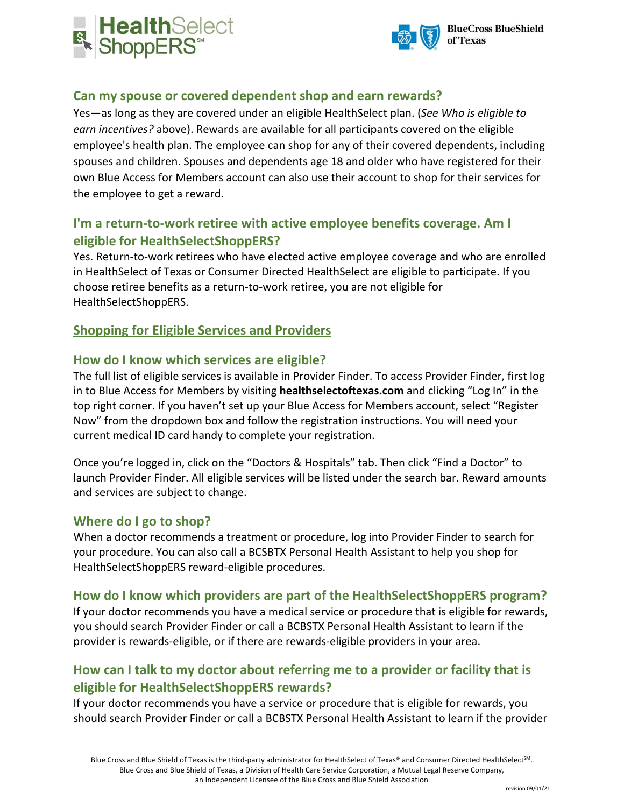



## **Can my spouse or covered dependent shop and earn rewards?**

Yes—as long as they are covered under an eligible HealthSelect plan. (*See Who is eligible to earn incentives?* above). Rewards are available for all participants covered on the eligible employee's health plan. The employee can shop for any of their covered dependents, including spouses and children. Spouses and dependents age 18 and older who have registered for their own Blue Access for Members account can also use their account to shop for their services for the employee to get a reward.

# **I'm a return-to-work retiree with active employee benefits coverage. Am I eligible for HealthSelectShoppERS?**

Yes. Return-to-work retirees who have elected active employee coverage and who are enrolled in HealthSelect of Texas or Consumer Directed HealthSelect are eligible to participate. If you choose retiree benefits as a return-to-work retiree, you are not eligible for HealthSelectShoppERS.

## **Shopping for Eligible Services and Providers**

#### **How do I know which services are eligible?**

The full list of eligible services is available in Provider Finder. To access Provider Finder, first log in to Blue Access for Members by visiting **healthselectoftexas.com** and clicking "Log In" in the top right corner. If you haven't set up your Blue Access for Members account, select "Register Now" from the dropdown box and follow the registration instructions. You will need your current medical ID card handy to complete your registration.

Once you're logged in, click on the "Doctors & Hospitals" tab. Then click "Find a Doctor" to launch Provider Finder. All eligible services will be listed under the search bar. Reward amounts and services are subject to change.

#### **Where do I go to shop?**

When a doctor recommends a treatment or procedure, log into Provider Finder to search for your procedure. You can also call a BCSBTX Personal Health Assistant to help you shop for HealthSelectShoppERS reward-eligible procedures.

#### **How do I know which providers are part of the HealthSelectShoppERS program?**

If your doctor recommends you have a medical service or procedure that is eligible for rewards, you should search Provider Finder or call a BCBSTX Personal Health Assistant to learn if the provider is rewards-eligible, or if there are rewards-eligible providers in your area.

# **How can I talk to my doctor about referring me to a provider or facility that is eligible for HealthSelectShoppERS rewards?**

If your doctor recommends you have a service or procedure that is eligible for rewards, you should search Provider Finder or call a BCBSTX Personal Health Assistant to learn if the provider

Blue Cross and Blue Shield of Texas is the third-party administrator for HealthSelect of Texas® and Consumer Directed HealthSelect<sup>SM</sup>. Blue Cross and Blue Shield of Texas, a Division of Health Care Service Corporation, a Mutual Legal Reserve Company, an Independent Licensee of the Blue Cross and Blue Shield Association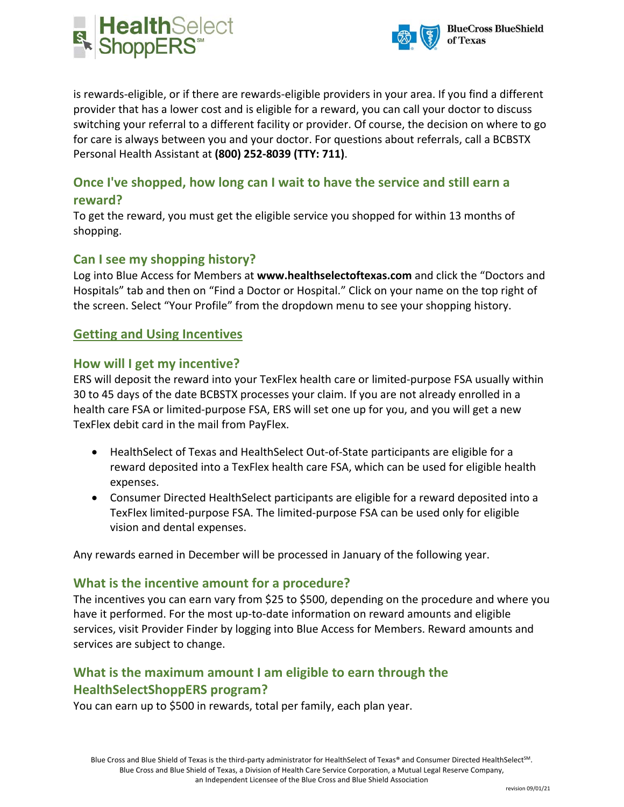



is rewards-eligible, or if there are rewards-eligible providers in your area. If you find a different provider that has a lower cost and is eligible for a reward, you can call your doctor to discuss switching your referral to a different facility or provider. Of course, the decision on where to go for care is always between you and your doctor. For questions about referrals, call a BCBSTX Personal Health Assistant at **(800) 252-8039 (TTY: 711)**.

## **Once I've shopped, how long can I wait to have the service and still earn a reward?**

To get the reward, you must get the eligible service you shopped for within 13 months of shopping.

## **Can I see my shopping history?**

Log into Blue Access for Members at **www.healthselectoftexas.com** and click the "Doctors and Hospitals" tab and then on "Find a Doctor or Hospital." Click on your name on the top right of the screen. Select "Your Profile" from the dropdown menu to see your shopping history.

## **Getting and Using Incentives**

#### **How will I get my incentive?**

ERS will deposit the reward into your TexFlex health care or limited-purpose FSA usually within 30 to 45 days of the date BCBSTX processes your claim. If you are not already enrolled in a health care FSA or limited-purpose FSA, ERS will set one up for you, and you will get a new TexFlex debit card in the mail from PayFlex.

- HealthSelect of Texas and HealthSelect Out-of-State participants are eligible for a reward deposited into a TexFlex health care FSA, which can be used for eligible health expenses.
- Consumer Directed HealthSelect participants are eligible for a reward deposited into a TexFlex limited-purpose FSA. The limited-purpose FSA can be used only for eligible vision and dental expenses.

Any rewards earned in December will be processed in January of the following year.

#### **What is the incentive amount for a procedure?**

The incentives you can earn vary from \$25 to \$500, depending on the procedure and where you have it performed. For the most up-to-date information on reward amounts and eligible services, visit Provider Finder by logging into Blue Access for Members. Reward amounts and services are subject to change.

# **What is the maximum amount I am eligible to earn through the HealthSelectShoppERS program?**

You can earn up to \$500 in rewards, total per family, each plan year.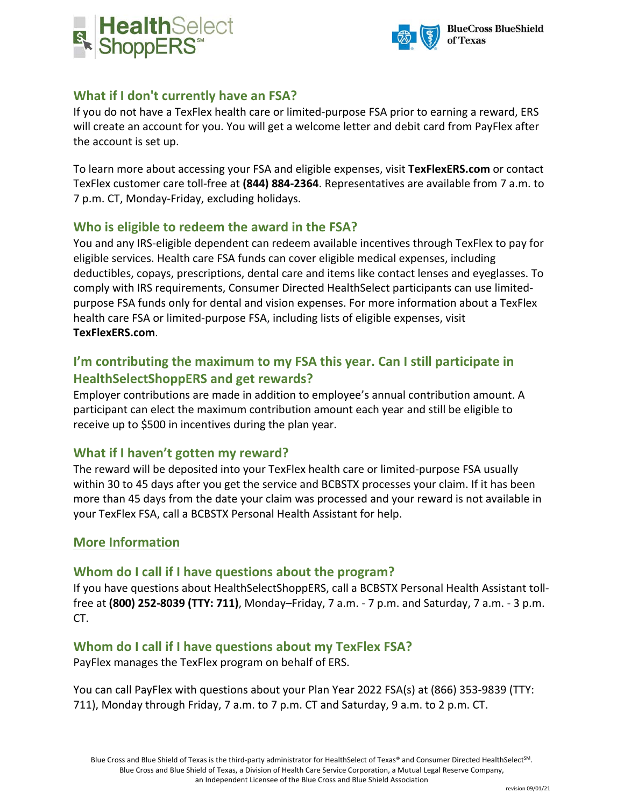



## **What if I don't currently have an FSA?**

If you do not have a TexFlex health care or limited-purpose FSA prior to earning a reward, ERS will create an account for you. You will get a welcome letter and debit card from PayFlex after the account is set up.

To learn more about accessing your FSA and eligible expenses, visit **TexFlexERS.com** or contact TexFlex customer care toll-free at **(844) 884-2364**. Representatives are available from 7 a.m. to 7 p.m. CT, Monday-Friday, excluding holidays.

## **Who is eligible to redeem the award in the FSA?**

You and any IRS-eligible dependent can redeem available incentives through TexFlex to pay for eligible services. Health care FSA funds can cover eligible medical expenses, including deductibles, copays, prescriptions, dental care and items like contact lenses and eyeglasses. To comply with IRS requirements, Consumer Directed HealthSelect participants can use limitedpurpose FSA funds only for dental and vision expenses. For more information about a TexFlex health care FSA or limited-purpose FSA, including lists of eligible expenses, visit **TexFlexERS.com**.

# **I'm contributing the maximum to my FSA this year. Can I still participate in HealthSelectShoppERS and get rewards?**

Employer contributions are made in addition to employee's annual contribution amount. A participant can elect the maximum contribution amount each year and still be eligible to receive up to \$500 in incentives during the plan year.

## **What if I haven't gotten my reward?**

The reward will be deposited into your TexFlex health care or limited-purpose FSA usually within 30 to 45 days after you get the service and BCBSTX processes your claim. If it has been more than 45 days from the date your claim was processed and your reward is not available in your TexFlex FSA, call a BCBSTX Personal Health Assistant for help.

#### **More Information**

#### **Whom do I call if I have questions about the program?**

If you have questions about HealthSelectShoppERS, call a BCBSTX Personal Health Assistant tollfree at **(800) 252-8039 (TTY: 711)**, Monday–Friday, 7 a.m. - 7 p.m. and Saturday, 7 a.m. - 3 p.m. CT.

## **Whom do I call if I have questions about my TexFlex FSA?**

PayFlex manages the TexFlex program on behalf of ERS.

You can call PayFlex with questions about your Plan Year 2022 FSA(s) at (866) 353-9839 (TTY: 711), Monday through Friday, 7 a.m. to 7 p.m. CT and Saturday, 9 a.m. to 2 p.m. CT.